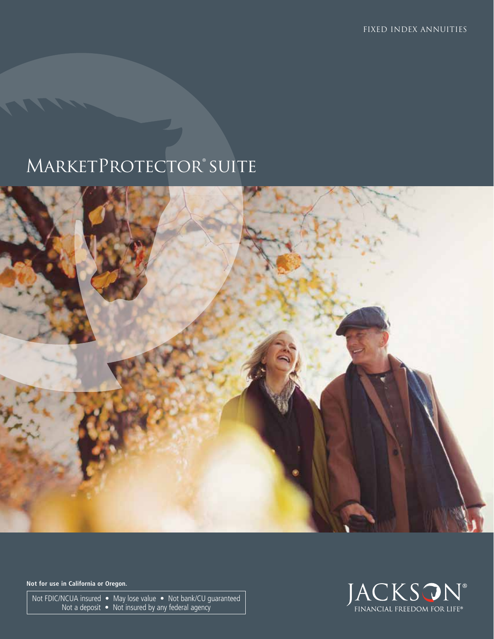# MARKETPROTECTOR® SUITE



**Not for use in California or Oregon.**

Not FDIC/NCUA insured • May lose value • Not bank/CU guaranteed Not a deposit • Not insured by any federal agency

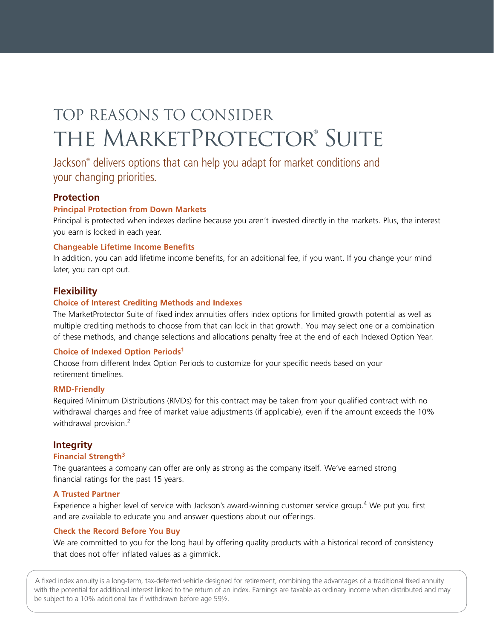# TOP REASONS TO CONSIDER THE MARKETPROTECTOR® SUITE

Jackson® delivers options that can help you adapt for market conditions and your changing priorities.

#### **Protection**

#### **Principal Protection from Down Markets**

Principal is protected when indexes decline because you aren't invested directly in the markets. Plus, the interest you earn is locked in each year.

#### **Changeable Lifetime Income Benefits**

In addition, you can add lifetime income benefits, for an additional fee, if you want. If you change your mind later, you can opt out.

#### **Flexibility**

#### **Choice of Interest Crediting Methods and Indexes**

The MarketProtector Suite of fixed index annuities offers index options for limited growth potential as well as multiple crediting methods to choose from that can lock in that growth. You may select one or a combination of these methods, and change selections and allocations penalty free at the end of each Indexed Option Year.

#### **Choice of Indexed Option Periods1**

Choose from different Index Option Periods to customize for your specific needs based on your retirement timelines.

#### **RMD-Friendly**

Required Minimum Distributions (RMDs) for this contract may be taken from your qualified contract with no withdrawal charges and free of market value adjustments (if applicable), even if the amount exceeds the 10% withdrawal provision.<sup>2</sup>

#### **Integrity**

#### **Financial Strength3**

The guarantees a company can offer are only as strong as the company itself. We've earned strong financial ratings for the past 15 years.

#### **A Trusted Partner**

Experience a higher level of service with Jackson's award-winning customer service group.4 We put you first and are available to educate you and answer questions about our offerings.

#### **Check the Record Before You Buy**

We are committed to you for the long haul by offering quality products with a historical record of consistency that does not offer inflated values as a gimmick.

A fixed index annuity is a long-term, tax-deferred vehicle designed for retirement, combining the advantages of a traditional fixed annuity with the potential for additional interest linked to the return of an index. Earnings are taxable as ordinary income when distributed and may be subject to a 10% additional tax if withdrawn before age 59½.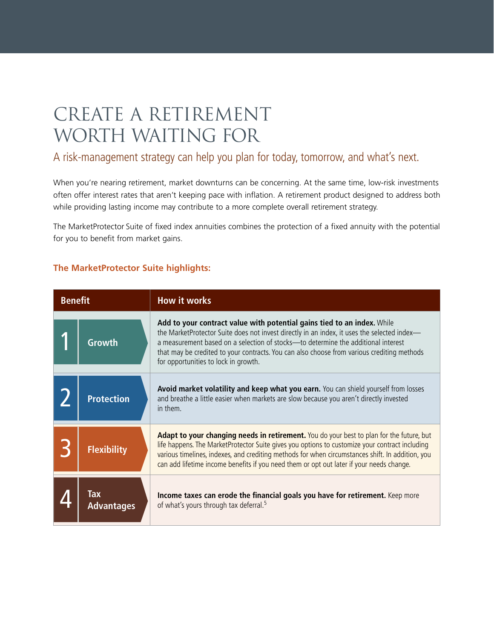## create a retirement WORTH WAITING FOR

### A risk-management strategy can help you plan for today, tomorrow, and what's next.

When you're nearing retirement, market downturns can be concerning. At the same time, low-risk investments often offer interest rates that aren't keeping pace with inflation. A retirement product designed to address both while providing lasting income may contribute to a more complete overall retirement strategy.

The MarketProtector Suite of fixed index annuities combines the protection of a fixed annuity with the potential for you to benefit from market gains.

### **The MarketProtector Suite highlights:**

| <b>Benefit</b> |                          | <b>How it works</b>                                                                                                                                                                                                                                                                                                                                                                               |
|----------------|--------------------------|---------------------------------------------------------------------------------------------------------------------------------------------------------------------------------------------------------------------------------------------------------------------------------------------------------------------------------------------------------------------------------------------------|
|                | Growth                   | Add to your contract value with potential gains tied to an index. While<br>the MarketProtector Suite does not invest directly in an index, it uses the selected index-<br>a measurement based on a selection of stocks—to determine the additional interest<br>that may be credited to your contracts. You can also choose from various crediting methods<br>for opportunities to lock in growth. |
|                | <b>Protection</b>        | Avoid market volatility and keep what you earn. You can shield yourself from losses<br>and breathe a little easier when markets are slow because you aren't directly invested<br>in them.                                                                                                                                                                                                         |
|                | <b>Flexibility</b>       | Adapt to your changing needs in retirement. You do your best to plan for the future, but<br>life happens. The MarketProtector Suite gives you options to customize your contract including<br>various timelines, indexes, and crediting methods for when circumstances shift. In addition, you<br>can add lifetime income benefits if you need them or opt out later if your needs change.        |
|                | Tax<br><b>Advantages</b> | Income taxes can erode the financial goals you have for retirement. Keep more<br>of what's yours through tax deferral. <sup>5</sup>                                                                                                                                                                                                                                                               |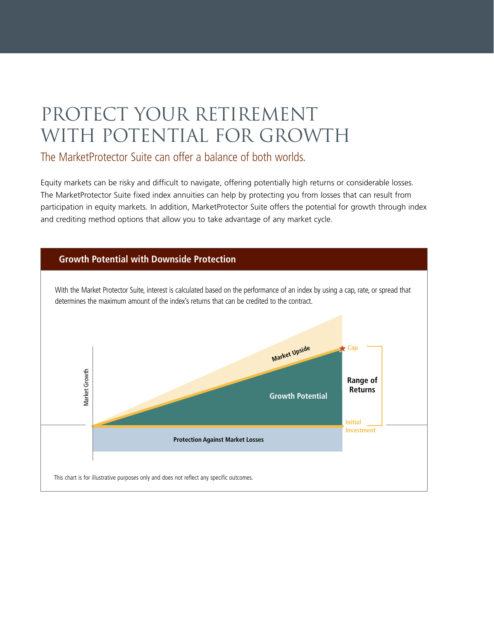## PROTECT YOUR RETIREMENT WITH POTENTIAL FOR GROWTH

### The MarketProtector Suite can offer a balance of both worlds.

Equity markets can be risky and difficult to navigate, offering potentially high returns or considerable losses. The MarketProtector Suite fixed index annuities can help by protecting you from losses that can result from participation in equity markets. In addition, MarketProtector Suite offers the potential for growth through index and crediting method options that allow you to take advantage of any market cycle.

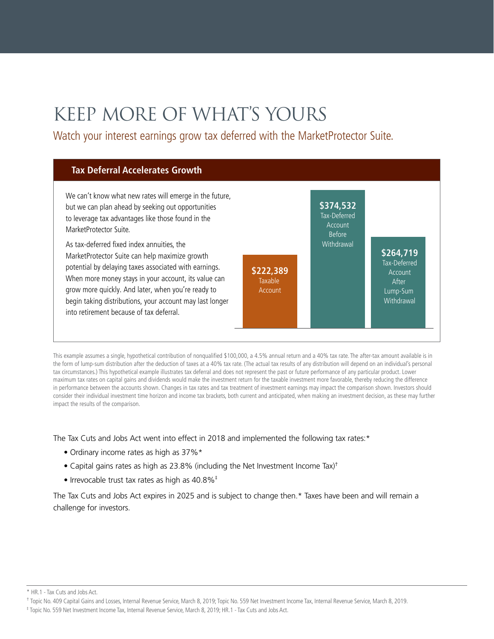# Keep More of What's Yours

Watch your interest earnings grow tax deferred with the MarketProtector Suite.



This example assumes a single, hypothetical contribution of nonqualified \$100,000, a 4.5% annual return and a 40% tax rate. The after-tax amount available is in the form of lump-sum distribution after the deduction of taxes at a 40% tax rate. (The actual tax results of any distribution will depend on an individual's personal tax circumstances.) This hypothetical example illustrates tax deferral and does not represent the past or future performance of any particular product. Lower maximum tax rates on capital gains and dividends would make the investment return for the taxable investment more favorable, thereby reducing the difference in performance between the accounts shown. Changes in tax rates and tax treatment of investment earnings may impact the comparison shown. Investors should consider their individual investment time horizon and income tax brackets, both current and anticipated, when making an investment decision, as these may further impact the results of the comparison.

The Tax Cuts and Jobs Act went into effect in 2018 and implemented the following tax rates:\*

- Ordinary income rates as high as 37%\*
- Capital gains rates as high as 23.8% (including the Net Investment Income Tax)†
- Irrevocable trust tax rates as high as 40.8%<sup>‡</sup>

The Tax Cuts and Jobs Act expires in 2025 and is subject to change then.\* Taxes have been and will remain a challenge for investors.

<sup>\*</sup> HR.1 - Tax Cuts and Jobs Act.

<sup>†</sup> Topic No. 409 Capital Gains and Losses, Internal Revenue Service, March 8, 2019; Topic No. 559 Net Investment Income Tax, Internal Revenue Service, March 8, 2019.

<sup>‡</sup> Topic No. 559 Net Investment Income Tax, Internal Revenue Service, March 8, 2019; HR.1 - Tax Cuts and Jobs Act.